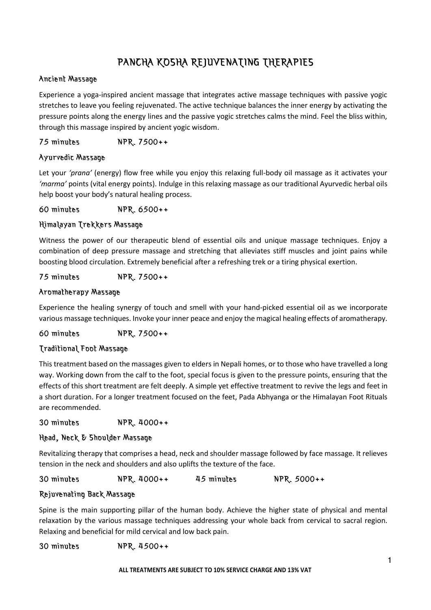# PANCHA KOSHA REJUVENATING THERAPIES

## Ancient Massage

Experience a yoga-inspired ancient massage that integrates active massage techniques with passive yogic stretches to leave you feeling rejuvenated. The active technique balances the inner energy by activating the pressure points along the energy lines and the passive yogic stretches calms the mind. Feel the bliss within, through this massage inspired by ancient yogic wisdom.

75 minutes NPR. 7500++

## Ayurvedic Massage

Let your *'prana'* (energy) flow free while you enjoy this relaxing full-body oil massage as it activates your *'marma'* points (vital energy points). Indulge in this relaxing massage as our traditional Ayurvedic herbal oils help boost your body's natural healing process.

60 minutes NPR. 6500++

## Himalayan Trekkers Massage

Witness the power of our therapeutic blend of essential oils and unique massage techniques. Enjoy a combination of deep pressure massage and stretching that alleviates stiff muscles and joint pains while boosting blood circulation. Extremely beneficial after a refreshing trek or a tiring physical exertion.

75 minutes NPR. 7500++

## Aromatherapy Massage

Experience the healing synergy of touch and smell with your hand-picked essential oil as we incorporate various massage techniques. Invoke your inner peace and enjoy the magical healing effects of aromatherapy.

60 minutes NPR. 7500++

## Traditional Foot Massage

This treatment based on the massages given to elders in Nepali homes, or to those who have travelled a long way. Working down from the calf to the foot, special focus is given to the pressure points, ensuring that the effects of this short treatment are felt deeply. A simple yet effective treatment to revive the legs and feet in a short duration. For a longer treatment focused on the feet, Pada Abhyanga or the Himalayan Foot Rituals are recommended.

30 minutes NPR. 4000++

## Head, Neck & Shoulder Massage

Revitalizing therapy that comprises a head, neck and shoulder massage followed by face massage. It relieves tension in the neck and shoulders and also uplifts the texture of the face.

30 minutes NPR. 4000++ 45 minutes NPR. 5000++

## Rejuvenating Back Massage

Spine is the main supporting pillar of the human body. Achieve the higher state of physical and mental relaxation by the various massage techniques addressing your whole back from cervical to sacral region. Relaxing and beneficial for mild cervical and low back pain.

30 minutes NPR. 4500++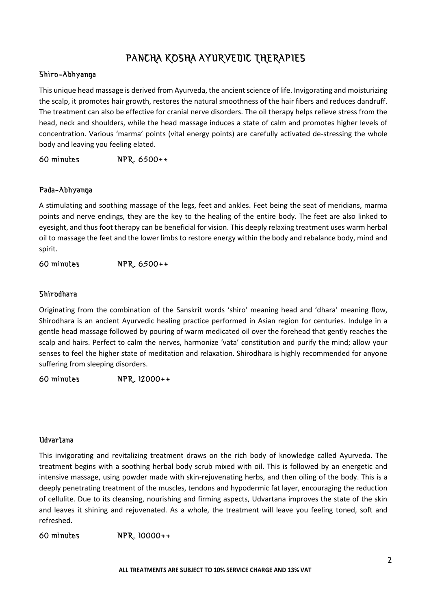## PANCHA KOSHA AYURVEDIC THERAPIES

#### Shiro-Abhyanga

This unique head massage is derived from Ayurveda, the ancient science of life. Invigorating and moisturizing the scalp, it promotes hair growth, restores the natural smoothness of the hair fibers and reduces dandruff. The treatment can also be effective for cranial nerve disorders. The oil therapy helps relieve stress from the head, neck and shoulders, while the head massage induces a state of calm and promotes higher levels of concentration. Various 'marma' points (vital energy points) are carefully activated de-stressing the whole body and leaving you feeling elated.

60 minutes NPR. 6500++

## Pada-Abhyanga

A stimulating and soothing massage of the legs, feet and ankles. Feet being the seat of meridians, marma points and nerve endings, they are the key to the healing of the entire body. The feet are also linked to eyesight, and thus foot therapy can be beneficial for vision. This deeply relaxing treatment uses warm herbal oil to massage the feet and the lower limbs to restore energy within the body and rebalance body, mind and spirit.

60 minutes NPR. 6500++

#### Shirodhara

Originating from the combination of the Sanskrit words 'shiro' meaning head and 'dhara' meaning flow, Shirodhara is an ancient Ayurvedic healing practice performed in Asian region for centuries. Indulge in a gentle head massage followed by pouring of warm medicated oil over the forehead that gently reaches the scalp and hairs. Perfect to calm the nerves, harmonize 'vata' constitution and purify the mind; allow your senses to feel the higher state of meditation and relaxation. Shirodhara is highly recommended for anyone suffering from sleeping disorders.

60 minutes NPR. 12000++

#### Udvartana

This invigorating and revitalizing treatment draws on the rich body of knowledge called Ayurveda. The treatment begins with a soothing herbal body scrub mixed with oil. This is followed by an energetic and intensive massage, using powder made with skin-rejuvenating herbs, and then oiling of the body. This is a deeply penetrating treatment of the muscles, tendons and hypodermic fat layer, encouraging the reduction of cellulite. Due to its cleansing, nourishing and firming aspects, Udvartana improves the state of the skin and leaves it shining and rejuvenated. As a whole, the treatment will leave you feeling toned, soft and refreshed.

60 minutes NPR. 10000++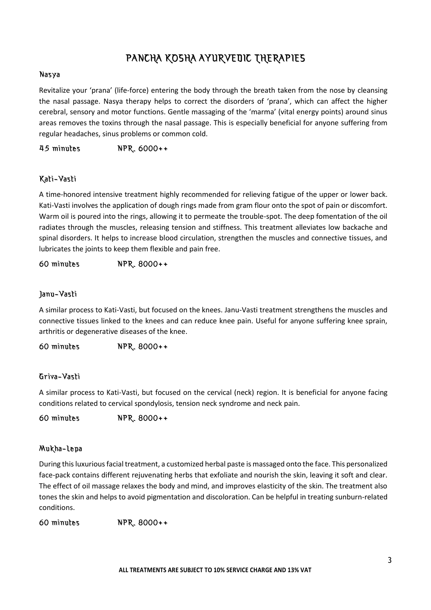## PANCHA KOSHA AYURVEDIC THERAPIES

#### Nasya

Revitalize your 'prana' (life-force) entering the body through the breath taken from the nose by cleansing the nasal passage. Nasya therapy helps to correct the disorders of 'prana', which can affect the higher cerebral, sensory and motor functions. Gentle massaging of the 'marma' (vital energy points) around sinus areas removes the toxins through the nasal passage. This is especially beneficial for anyone suffering from regular headaches, sinus problems or common cold.

45 minutes NPR. 6000++

## Kati-Vasti

A time-honored intensive treatment highly recommended for relieving fatigue of the upper or lower back. Kati-Vasti involves the application of dough rings made from gram flour onto the spot of pain or discomfort. Warm oil is poured into the rings, allowing it to permeate the trouble-spot. The deep fomentation of the oil radiates through the muscles, releasing tension and stiffness. This treatment alleviates low backache and spinal disorders. It helps to increase blood circulation, strengthen the muscles and connective tissues, and lubricates the joints to keep them flexible and pain free.

60 minutes NPR. 8000++

## Janu-Vasti

A similar process to Kati-Vasti, but focused on the knees. Janu-Vasti treatment strengthens the muscles and connective tissues linked to the knees and can reduce knee pain. Useful for anyone suffering knee sprain, arthritis or degenerative diseases of the knee.

60 minutes NPR. 8000++

## Griva-Vasti

A similar process to Kati-Vasti, but focused on the cervical (neck) region. It is beneficial for anyone facing conditions related to cervical spondylosis, tension neck syndrome and neck pain.

60 minutes NPR. 8000++

## Mukha-Lepa

During this luxurious facial treatment, a customized herbal paste is massaged onto the face. This personalized face-pack contains different rejuvenating herbs that exfoliate and nourish the skin, leaving it soft and clear. The effect of oil massage relaxes the body and mind, and improves elasticity of the skin. The treatment also tones the skin and helps to avoid pigmentation and discoloration. Can be helpful in treating sunburn-related conditions.

60 minutes NPR. 8000++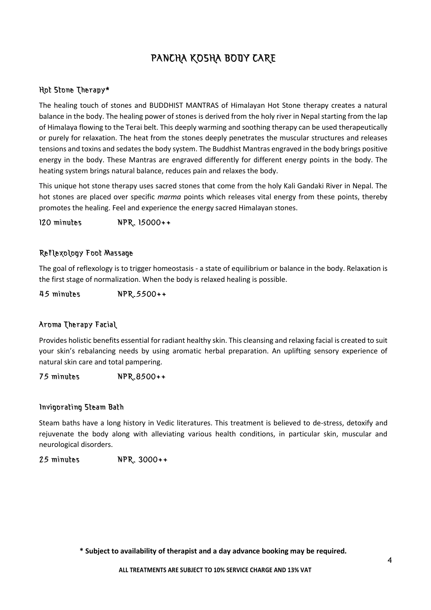# PANCHA KOSHA BODY CARE

## Hot Stone Therapy\*

The healing touch of stones and BUDDHIST MANTRAS of Himalayan Hot Stone therapy creates a natural balance in the body. The healing power of stones is derived from the holy river in Nepal starting from the lap of Himalaya flowing to the Terai belt. This deeply warming and soothing therapy can be used therapeutically or purely for relaxation. The heat from the stones deeply penetrates the muscular structures and releases tensions and toxins and sedates the body system. The Buddhist Mantras engraved in the body brings positive energy in the body. These Mantras are engraved differently for different energy points in the body. The heating system brings natural balance, reduces pain and relaxes the body.

This unique hot stone therapy uses sacred stones that come from the holy Kali Gandaki River in Nepal. The hot stones are placed over specific *marma* points which releases vital energy from these points, thereby promotes the healing. Feel and experience the energy sacred Himalayan stones.

120 minutes NPR. 15000++

## Reflexology Foot Massage

The goal of reflexology is to trigger homeostasis ‐ a state of equilibrium or balance in the body. Relaxation is the first stage of normalization. When the body is relaxed healing is possible.

45 minutes NPR.5500++

## Aroma Therapy Facial

Provides holistic benefits essential for radiant healthy skin. This cleansing and relaxing facial is created to suit your skin's rebalancing needs by using aromatic herbal preparation. An uplifting sensory experience of natural skin care and total pampering.

75 minutes NPR.8500++

#### Invigorating Steam Bath

Steam baths have a long history in Vedic literatures. This treatment is believed to de-stress, detoxify and rejuvenate the body along with alleviating various health conditions, in particular skin, muscular and neurological disorders.

25 minutes NPR. 3000++

**\* Subject to availability of therapist and a day advance booking may be required.**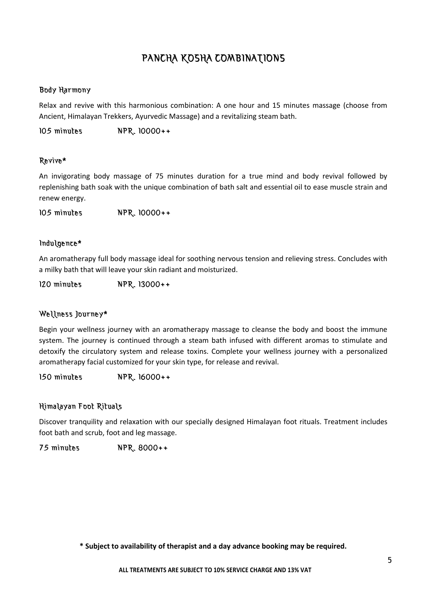## PANCHA KOSHA COMBINATIONS

## Body Harmony

Relax and revive with this harmonious combination: A one hour and 15 minutes massage (choose from Ancient, Himalayan Trekkers, Ayurvedic Massage) and a revitalizing steam bath.

105 minutes NPR. 10000++

## Revive\*

An invigorating body massage of 75 minutes duration for a true mind and body revival followed by replenishing bath soak with the unique combination of bath salt and essential oil to ease muscle strain and renew energy.

105 minutes NPR. 10000++

## Indulgence\*

An aromatherapy full body massage ideal for soothing nervous tension and relieving stress. Concludes with a milky bath that will leave your skin radiant and moisturized.

120 minutes NPR. 13000++

## Wellness Journey\*

Begin your wellness journey with an aromatherapy massage to cleanse the body and boost the immune system. The journey is continued through a steam bath infused with different aromas to stimulate and detoxify the circulatory system and release toxins. Complete your wellness journey with a personalized aromatherapy facial customized for your skin type, for release and revival.

150 minutes NPR. 16000++

## Himalayan Foot Rituals

Discover tranquility and relaxation with our specially designed Himalayan foot rituals. Treatment includes foot bath and scrub, foot and leg massage.

75 minutes NPR. 8000++

**\* Subject to availability of therapist and a day advance booking may be required.**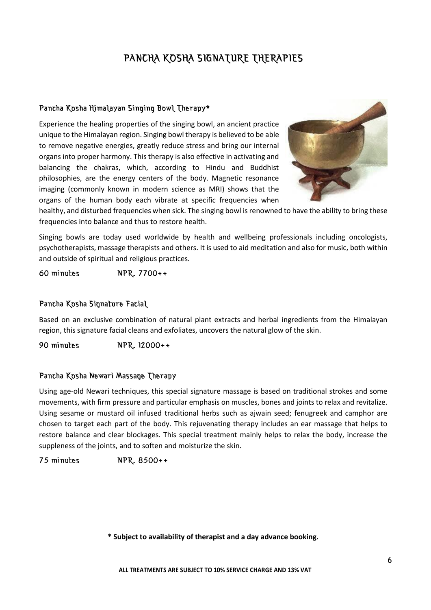# PANCHA KOSHA SIGNATURE THERAPIES

## Pancha Kosha Himalayan Singing Bowl Therapy\*

Experience the healing properties of the singing bowl, an ancient practice unique to the Himalayan region. Singing bowl therapy is believed to be able to remove negative energies, greatly reduce stress and bring our internal organs into proper harmony. This therapy is also effective in activating and balancing the chakras, which, according to Hindu and Buddhist philosophies, are the energy centers of the body. Magnetic resonance imaging (commonly known in modern science as MRI) shows that the organs of the human body each vibrate at specific frequencies when



healthy, and disturbed frequencies when sick. The singing bowl is renowned to have the ability to bring these frequencies into balance and thus to restore health.

Singing bowls are today used worldwide by health and wellbeing professionals including oncologists, psychotherapists, massage therapists and others. It is used to aid meditation and also for music, both within and outside of spiritual and religious practices.

60 minutes NPR. 7700++

## Pancha Kosha Signature Facial

Based on an exclusive combination of natural plant extracts and herbal ingredients from the Himalayan region, this signature facial cleans and exfoliates, uncovers the natural glow of the skin.

90 minutes NPR. 12000++

## Pancha Kosha Newari Massage Therapy

Using age-old Newari techniques, this special signature massage is based on traditional strokes and some movements, with firm pressure and particular emphasis on muscles, bones and joints to relax and revitalize. Using sesame or mustard oil infused traditional herbs such as ajwain seed; fenugreek and camphor are chosen to target each part of the body. This rejuvenating therapy includes an ear massage that helps to restore balance and clear blockages. This special treatment mainly helps to relax the body, increase the suppleness of the joints, and to soften and moisturize the skin.

75 minutes NPR. 8500++

**\* Subject to availability of therapist and a day advance booking.**